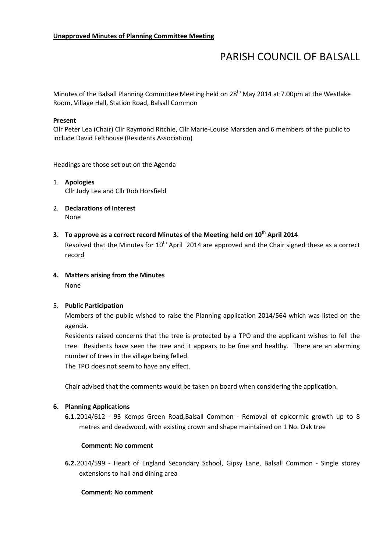# PARISH COUNCIL OF BALSALL

Minutes of the Balsall Planning Committee Meeting held on 28<sup>th</sup> May 2014 at 7.00pm at the Westlake Room, Village Hall, Station Road, Balsall Common

## Present

Cllr Peter Lea (Chair) Cllr Raymond Ritchie, Cllr Marie-Louise Marsden and 6 members of the public to include David Felthouse (Residents Association)

Headings are those set out on the Agenda

- 1. Apologies Cllr Judy Lea and Cllr Rob Horsfield
- 2. Declarations of Interest None
- 3. To approve as a correct record Minutes of the Meeting held on 10<sup>th</sup> April 2014 Resolved that the Minutes for  $10<sup>th</sup>$  April 2014 are approved and the Chair signed these as a correct record
- 4. Matters arising from the Minutes None

# 5. Public Participation

Members of the public wished to raise the Planning application 2014/564 which was listed on the agenda.

Residents raised concerns that the tree is protected by a TPO and the applicant wishes to fell the tree. Residents have seen the tree and it appears to be fine and healthy. There are an alarming number of trees in the village being felled.

The TPO does not seem to have any effect.

Chair advised that the comments would be taken on board when considering the application.

## 6. Planning Applications

6.1.2014/612 - 93 Kemps Green Road,Balsall Common - Removal of epicormic growth up to 8 metres and deadwood, with existing crown and shape maintained on 1 No. Oak tree

# Comment: No comment

6.2.2014/599 - Heart of England Secondary School, Gipsy Lane, Balsall Common - Single storey extensions to hall and dining area

## Comment: No comment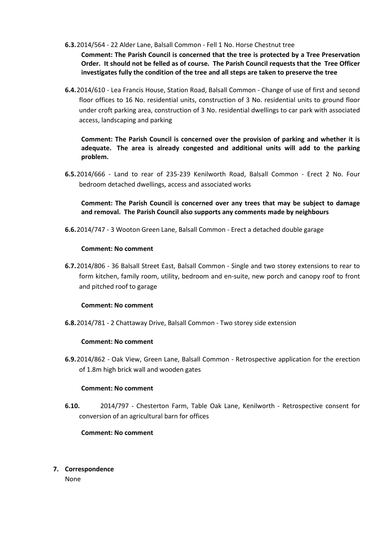6.3.2014/564 - 22 Alder Lane, Balsall Common - Fell 1 No. Horse Chestnut tree

Comment: The Parish Council is concerned that the tree is protected by a Tree Preservation Order. It should not be felled as of course. The Parish Council requests that the Tree Officer investigates fully the condition of the tree and all steps are taken to preserve the tree

6.4.2014/610 - Lea Francis House, Station Road, Balsall Common - Change of use of first and second floor offices to 16 No. residential units, construction of 3 No. residential units to ground floor under croft parking area, construction of 3 No. residential dwellings to car park with associated access, landscaping and parking

Comment: The Parish Council is concerned over the provision of parking and whether it is adequate. The area is already congested and additional units will add to the parking problem.

6.5.2014/666 - Land to rear of 235-239 Kenilworth Road, Balsall Common - Erect 2 No. Four bedroom detached dwellings, access and associated works

Comment: The Parish Council is concerned over any trees that may be subject to damage and removal. The Parish Council also supports any comments made by neighbours

6.6.2014/747 - 3 Wooton Green Lane, Balsall Common - Erect a detached double garage

## Comment: No comment

6.7.2014/806 - 36 Balsall Street East, Balsall Common - Single and two storey extensions to rear to form kitchen, family room, utility, bedroom and en-suite, new porch and canopy roof to front and pitched roof to garage

## Comment: No comment

6.8.2014/781 - 2 Chattaway Drive, Balsall Common - Two storey side extension

## Comment: No comment

6.9.2014/862 - Oak View, Green Lane, Balsall Common - Retrospective application for the erection of 1.8m high brick wall and wooden gates

## Comment: No comment

6.10. 2014/797 - Chesterton Farm, Table Oak Lane, Kenilworth - Retrospective consent for conversion of an agricultural barn for offices

# Comment: No comment

7. Correspondence

None